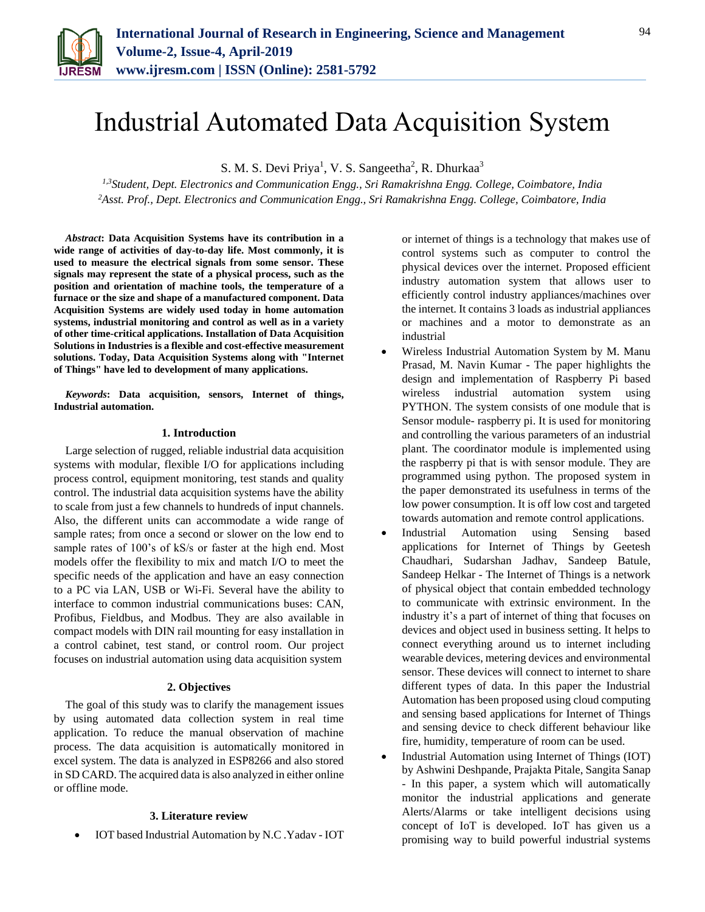

# Industrial Automated Data Acquisition System

S. M. S. Devi Priya<sup>1</sup>, V. S. Sangeetha<sup>2</sup>, R. Dhurkaa<sup>3</sup>

*1,3Student, Dept. Electronics and Communication Engg., Sri Ramakrishna Engg. College, Coimbatore, India <sup>2</sup>Asst. Prof., Dept. Electronics and Communication Engg., Sri Ramakrishna Engg. College, Coimbatore, India*

*Abstract***: Data Acquisition Systems have its contribution in a wide range of activities of day-to-day life. Most commonly, it is used to measure the electrical signals from some sensor. These signals may represent the state of a physical process, such as the position and orientation of machine tools, the temperature of a furnace or the size and shape of a manufactured component. Data Acquisition Systems are widely used today in home automation systems, industrial monitoring and control as well as in a variety of other time-critical applications. Installation of Data Acquisition Solutions in Industries is a flexible and cost-effective measurement solutions. Today, Data Acquisition Systems along with "Internet of Things" have led to development of many applications.**

*Keywords***: Data acquisition, sensors, Internet of things, Industrial automation.**

#### **1. Introduction**

Large selection of rugged, reliable industrial data acquisition systems with modular, flexible I/O for applications including process control, equipment monitoring, test stands and quality control. The industrial data acquisition systems have the ability to scale from just a few channels to hundreds of input channels. Also, the different units can accommodate a wide range of sample rates; from once a second or slower on the low end to sample rates of 100's of kS/s or faster at the high end. Most models offer the flexibility to mix and match I/O to meet the specific needs of the application and have an easy connection to a PC via LAN, USB or Wi-Fi. Several have the ability to interface to common industrial communications buses: CAN, Profibus, Fieldbus, and Modbus. They are also available in compact models with DIN rail mounting for easy installation in a control cabinet, test stand, or control room. Our project focuses on industrial automation using data acquisition system

## **2. Objectives**

The goal of this study was to clarify the management issues by using automated data collection system in real time application. To reduce the manual observation of machine process. The data acquisition is automatically monitored in excel system. The data is analyzed in ESP8266 and also stored in SD CARD. The acquired data is also analyzed in either online or offline mode.

#### **3. Literature review**

IOT based Industrial Automation by N.C .Yadav - IOT

or internet of things is a technology that makes use of control systems such as computer to control the physical devices over the internet. Proposed efficient industry automation system that allows user to efficiently control industry appliances/machines over the internet. It contains 3 loads as industrial appliances or machines and a motor to demonstrate as an industrial

- Wireless Industrial Automation System by M. Manu Prasad, M. Navin Kumar - The paper highlights the design and implementation of Raspberry Pi based wireless industrial automation system using PYTHON. The system consists of one module that is Sensor module- raspberry pi. It is used for monitoring and controlling the various parameters of an industrial plant. The coordinator module is implemented using the raspberry pi that is with sensor module. They are programmed using python. The proposed system in the paper demonstrated its usefulness in terms of the low power consumption. It is off low cost and targeted towards automation and remote control applications.
- Industrial Automation using Sensing based applications for Internet of Things by Geetesh Chaudhari, Sudarshan Jadhav, Sandeep Batule, Sandeep Helkar - The Internet of Things is a network of physical object that contain embedded technology to communicate with extrinsic environment. In the industry it's a part of internet of thing that focuses on devices and object used in business setting. It helps to connect everything around us to internet including wearable devices, metering devices and environmental sensor. These devices will connect to internet to share different types of data. In this paper the Industrial Automation has been proposed using cloud computing and sensing based applications for Internet of Things and sensing device to check different behaviour like fire, humidity, temperature of room can be used.
- Industrial Automation using Internet of Things (IOT) by Ashwini Deshpande, Prajakta Pitale, Sangita Sanap - In this paper, a system which will automatically monitor the industrial applications and generate Alerts/Alarms or take intelligent decisions using concept of IoT is developed. IoT has given us a promising way to build powerful industrial systems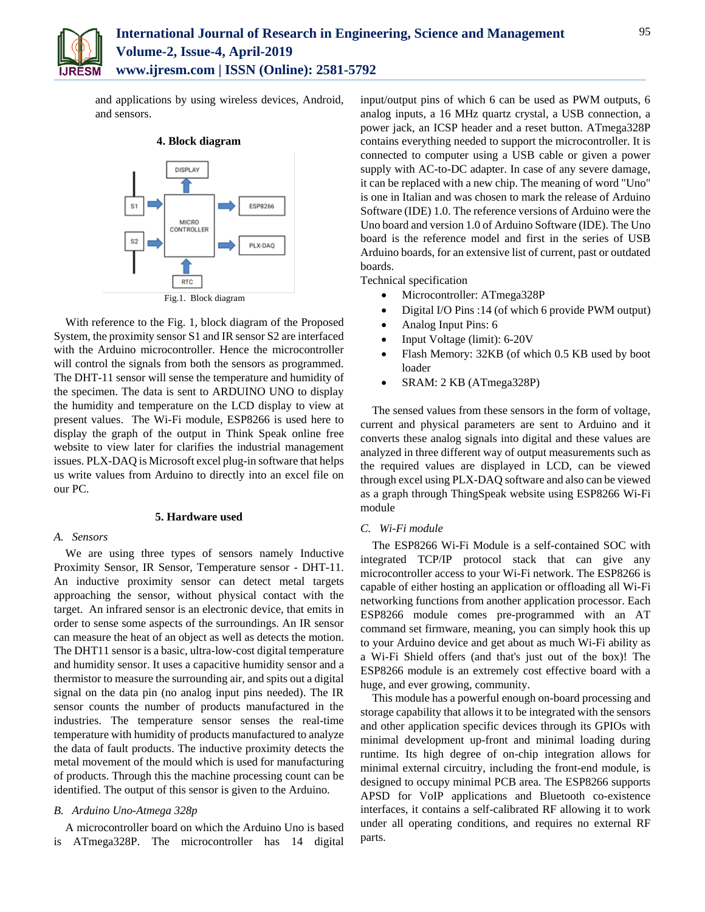

and applications by using wireless devices, Android, and sensors.



With reference to the Fig. 1, block diagram of the Proposed System, the proximity sensor S1 and IR sensor S2 are interfaced with the Arduino microcontroller. Hence the microcontroller will control the signals from both the sensors as programmed. The DHT-11 sensor will sense the temperature and humidity of the specimen. The data is sent to ARDUINO UNO to display the humidity and temperature on the LCD display to view at present values. The Wi-Fi module, ESP8266 is used here to display the graph of the output in Think Speak online free website to view later for clarifies the industrial management issues. PLX-DAQ is Microsoft excel plug-in software that helps us write values from Arduino to directly into an excel file on our PC.

#### **5. Hardware used**

#### *A. Sensors*

We are using three types of sensors namely Inductive Proximity Sensor, IR Sensor, Temperature sensor - DHT-11. An inductive proximity sensor can detect metal targets approaching the sensor, without physical contact with the target. An infrared sensor is an electronic device, that emits in order to sense some aspects of the surroundings. An IR sensor can measure the heat of an object as well as detects the motion. The DHT11 sensor is a basic, ultra-low-cost digital temperature and humidity sensor. It uses a capacitive humidity sensor and a thermistor to measure the surrounding air, and spits out a digital signal on the data pin (no analog input pins needed). The IR sensor counts the number of products manufactured in the industries. The temperature sensor senses the real-time temperature with humidity of products manufactured to analyze the data of fault products. The inductive proximity detects the metal movement of the mould which is used for manufacturing of products. Through this the machine processing count can be identified. The output of this sensor is given to the Arduino.

### *B. Arduino Uno-Atmega 328p*

A microcontroller board on which the Arduino Uno is based is ATmega328P. The microcontroller has 14 digital

input/output pins of which 6 can be used as PWM outputs, 6 analog inputs, a 16 MHz quartz crystal, a USB connection, a power jack, an ICSP header and a reset button. ATmega328P contains everything needed to support the microcontroller. It is connected to computer using a USB cable or given a power supply with AC-to-DC adapter. In case of any severe damage, it can be replaced with a new chip. The meaning of word "Uno" is one in Italian and was chosen to mark the release of Arduino Software (IDE) 1.0. The reference versions of Arduino were the Uno board and version 1.0 of Arduino Software (IDE). The Uno board is the reference model and first in the series of USB Arduino boards, for an extensive list of current, past or outdated boards.

Technical specification

- Microcontroller: ATmega328P
- Digital I/O Pins :14 (of which 6 provide PWM output)
- Analog Input Pins: 6
- Input Voltage (limit): 6-20V
- Flash Memory: 32KB (of which 0.5 KB used by boot loader
- SRAM: 2 KB (ATmega328P)

The sensed values from these sensors in the form of voltage, current and physical parameters are sent to Arduino and it converts these analog signals into digital and these values are analyzed in three different way of output measurements such as the required values are displayed in LCD, can be viewed through excel using PLX-DAQ software and also can be viewed as a graph through ThingSpeak website using ESP8266 Wi-Fi module

#### *C. Wi-Fi module*

The ESP8266 Wi-Fi Module is a self-contained SOC with integrated TCP/IP protocol stack that can give any microcontroller access to your Wi-Fi network. The ESP8266 is capable of either hosting an application or offloading all Wi-Fi networking functions from another application processor. Each ESP8266 module comes pre-programmed with an AT command set firmware, meaning, you can simply hook this up to your Arduino device and get about as much Wi-Fi ability as a Wi-Fi Shield offers (and that's just out of the box)! The ESP8266 module is an extremely cost effective board with a huge, and ever growing, community.

This module has a powerful enough on-board processing and storage capability that allows it to be integrated with the sensors and other application specific devices through its GPIOs with minimal development up-front and minimal loading during runtime. Its high degree of on-chip integration allows for minimal external circuitry, including the front-end module, is designed to occupy minimal PCB area. The ESP8266 supports APSD for VoIP applications and Bluetooth co-existence interfaces, it contains a self-calibrated RF allowing it to work under all operating conditions, and requires no external RF parts.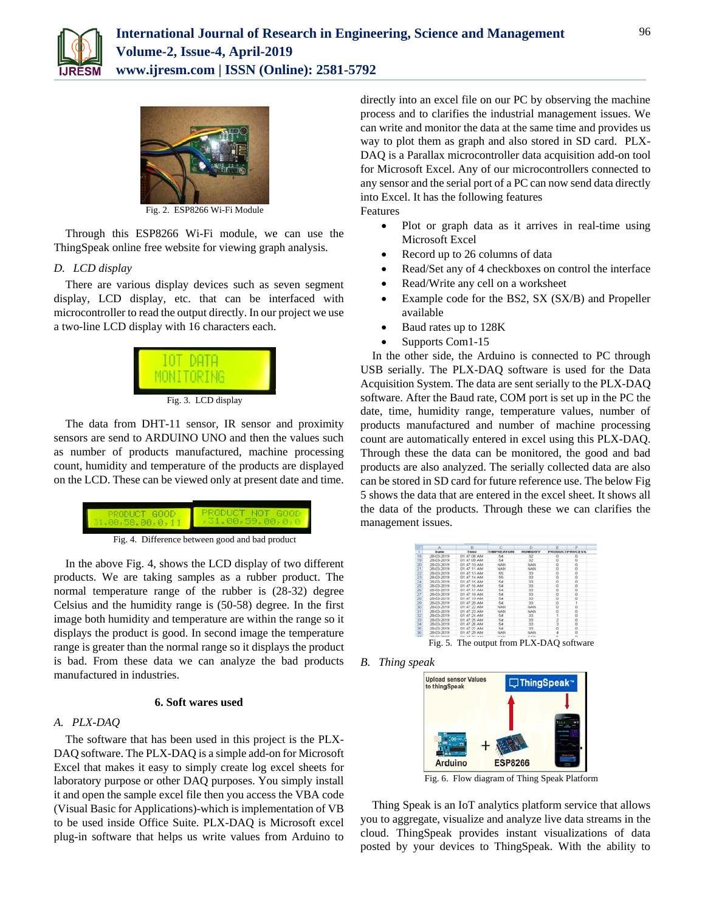



Fig. 2. ESP8266 Wi-Fi Module

Through this ESP8266 Wi-Fi module, we can use the ThingSpeak online free website for viewing graph analysis.

## *D. LCD display*

There are various display devices such as seven segment display, LCD display, etc. that can be interfaced with microcontroller to read the output directly. In our project we use a two-line LCD display with 16 characters each.



Fig. 3. LCD display

The data from DHT-11 sensor, IR sensor and proximity sensors are send to ARDUINO UNO and then the values such as number of products manufactured, machine processing count, humidity and temperature of the products are displayed on the LCD. These can be viewed only at present date and time.



In the above Fig. 4, shows the LCD display of two different products. We are taking samples as a rubber product. The normal temperature range of the rubber is (28-32) degree Celsius and the humidity range is (50-58) degree. In the first image both humidity and temperature are within the range so it displays the product is good. In second image the temperature range is greater than the normal range so it displays the product is bad. From these data we can analyze the bad products manufactured in industries.

## **6. Soft wares used**

#### *A. PLX-DAQ*

The software that has been used in this project is the PLX-DAQ software. The PLX-DAQ is a simple add-on for Microsoft Excel that makes it easy to simply create log excel sheets for laboratory purpose or other DAQ purposes. You simply install it and open the sample excel file then you access the VBA code (Visual Basic for Applications)-which is implementation of VB to be used inside Office Suite. PLX-DAQ is Microsoft excel plug-in software that helps us write values from Arduino to

directly into an excel file on our PC by observing the machine process and to clarifies the industrial management issues. We can write and monitor the data at the same time and provides us way to plot them as graph and also stored in SD card. PLX-DAQ is a Parallax microcontroller data acquisition add-on tool for Microsoft Excel. Any of our microcontrollers connected to any sensor and the serial port of a PC can now send data directly into Excel. It has the following features Features

- Plot or graph data as it arrives in real-time using Microsoft Excel
- Record up to 26 columns of data
- Read/Set any of 4 checkboxes on control the interface
- Read/Write any cell on a worksheet
- Example code for the BS2, SX (SX/B) and Propeller available
- Baud rates up to 128K
- Supports Com1-15

In the other side, the Arduino is connected to PC through USB serially. The PLX-DAQ software is used for the Data Acquisition System. The data are sent serially to the PLX-DAQ software. After the Baud rate, COM port is set up in the PC the date, time, humidity range, temperature values, number of products manufactured and number of machine processing count are automatically entered in excel using this PLX-DAQ. Through these the data can be monitored, the good and bad products are also analyzed. The serially collected data are also can be stored in SD card for future reference use. The below Fig 5 shows the data that are entered in the excel sheet. It shows all the data of the products. Through these we can clarifies the management issues.

|                          | A                     | $\overline{a}$ | c                 | ь               | E                     |  |
|--------------------------|-----------------------|----------------|-------------------|-----------------|-----------------------|--|
|                          | <b>Date</b>           | <b>Time</b>    | <b>FMPREATURE</b> | <b>HUMIDITY</b> | <b>PRODUCTPROCESS</b> |  |
|                          | 20-03-2019            | 01:47:08 AM    | 64                |                 |                       |  |
| 19                       | 26/03-2019            | 01:47:09 AM    | $\kappa$          | 32              |                       |  |
| $\infty$                 | 28-03-2019            | 01:47:10 AM    | 10830             | <b>NAM</b>      |                       |  |
| 21                       | 28.03.2019            | D1:47:11 AM    | NAN               | NAM             |                       |  |
| 22                       | 2643-2019             | 01:47:13 AM    | 66                | 33              |                       |  |
| 23                       | 28-03-2019            | 01:47:14 AM    | ex.               | $^{33}$         |                       |  |
| $\overline{\mathcal{M}}$ | 26-03-2019            | 01:47:15 AM    | 54                | 33              |                       |  |
| z                        | 28.03.2019            | 01:47.16.AM    | 54                | 33              |                       |  |
| $\overline{\infty}$      | 20/03/2019            | 01:47:57 AM    | K.A               | xi              |                       |  |
| 27                       | 20-03-2019            | 01:47:18 AM    | $K_{\rm eff}$     |                 |                       |  |
| 26                       | 2643-2019             | 01:47:19 AM    | 64                | 33              |                       |  |
| 29                       | 26/03/2019            | 01:47:20:AM    | 54                | 33              |                       |  |
| $\infty$                 | 20/03/2019            | D1:47:22 AM    | NAM               | NAM             |                       |  |
|                          | 26/03-2019            | 01:47:23 AM    | NAN               | NAN             |                       |  |
| 32                       | 26-03-2019            | 01:47:24 AM    | 54.               | 33              |                       |  |
| 33                       | 28-03-2019            | 01:47:25 AM    | 54                | 33              |                       |  |
|                          | 28/03-2019            | 01:47:26.AM    | $E_{\rm eff}$     | 33              |                       |  |
|                          | 28/03-2019            | 01:47:27 AM    | 6.8               | 33              |                       |  |
| $\mathbf{x}$             | 26/03/2019            | 01 47 29 AM    | NAM               | NAM             |                       |  |
| $\rightarrow$            | <b>WE AND PROVIDE</b> | die all he has | <b>BARRS</b>      | <b>BERGER</b>   |                       |  |

Fig. 5. The output from PLX-DAQ software





Fig. 6. Flow diagram of Thing Speak Platform

Thing Speak is an IoT analytics platform service that allows you to aggregate, visualize and analyze live data streams in the cloud. ThingSpeak provides instant visualizations of data posted by your devices to ThingSpeak. With the ability to